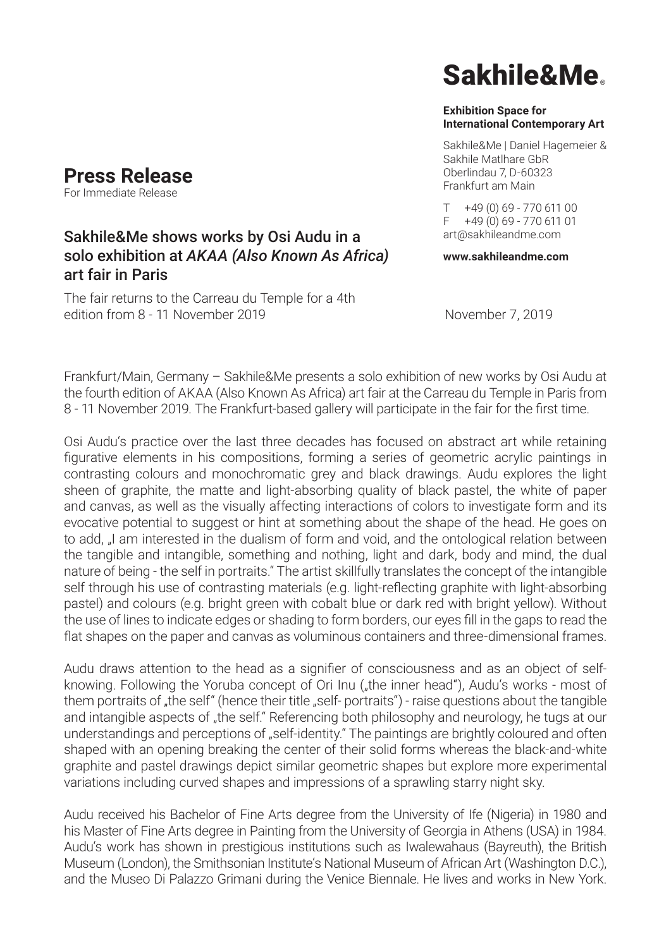## **Press Release**

For Immediate Release

### Sakhile&Me shows works by Osi Audu in a solo exhibition at *AKAA (Also Known As Africa)*  art fair in Paris

The fair returns to the Carreau du Temple for a 4th edition from 8 - 11 November 2019 November 7, 2019

# Sakhile&Me

#### **Exhibition Space for International Contemporary Art**

Sakhile&Me | Daniel Hagemeier & Sakhile Matlhare GbR Oberlindau 7, D-60323 Frankfurt am Main

T +49 (0) 69 - 770 611 00 F +49 (0) 69 - 770 611 01 art@sakhileandme.com

**www.sakhileandme.com**

Frankfurt/Main, Germany – Sakhile&Me presents a solo exhibition of new works by Osi Audu at the fourth edition of AKAA (Also Known As Africa) art fair at the Carreau du Temple in Paris from 8 - 11 November 2019. The Frankfurt-based gallery will participate in the fair for the first time.

Osi Audu's practice over the last three decades has focused on abstract art while retaining figurative elements in his compositions, forming a series of geometric acrylic paintings in contrasting colours and monochromatic grey and black drawings. Audu explores the light sheen of graphite, the matte and light-absorbing quality of black pastel, the white of paper and canvas, as well as the visually affecting interactions of colors to investigate form and its evocative potential to suggest or hint at something about the shape of the head. He goes on to add, "I am interested in the dualism of form and void, and the ontological relation between the tangible and intangible, something and nothing, light and dark, body and mind, the dual nature of being - the self in portraits." The artist skillfully translates the concept of the intangible self through his use of contrasting materials (e.g. light-reflecting graphite with light-absorbing pastel) and colours (e.g. bright green with cobalt blue or dark red with bright yellow). Without the use of lines to indicate edges or shading to form borders, our eyes fill in the gaps to read the flat shapes on the paper and canvas as voluminous containers and three-dimensional frames.

Audu draws attention to the head as a signifier of consciousness and as an object of selfknowing. Following the Yoruba concept of Ori Inu ("the inner head"), Audu's works - most of them portraits of "the self" (hence their title "self- portraits") - raise questions about the tangible and intangible aspects of "the self." Referencing both philosophy and neurology, he tugs at our understandings and perceptions of "self-identity." The paintings are brightly coloured and often shaped with an opening breaking the center of their solid forms whereas the black-and-white graphite and pastel drawings depict similar geometric shapes but explore more experimental variations including curved shapes and impressions of a sprawling starry night sky.

Audu received his Bachelor of Fine Arts degree from the University of Ife (Nigeria) in 1980 and his Master of Fine Arts degree in Painting from the University of Georgia in Athens (USA) in 1984. Audu's work has shown in prestigious institutions such as Iwalewahaus (Bayreuth), the British Museum (London), the Smithsonian Institute's National Museum of African Art (Washington D.C.), and the Museo Di Palazzo Grimani during the Venice Biennale. He lives and works in New York.